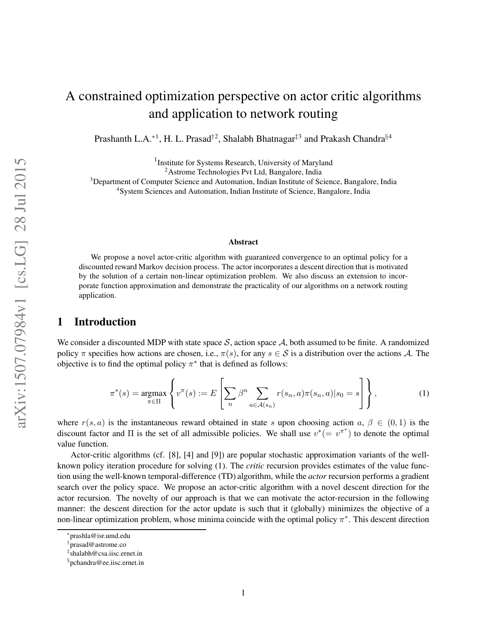# A constrained optimization perspective on actor critic algorithms and application to network routing

Prashanth L.A.<sup>\*1</sup>, H. L. Prasad<sup>†2</sup>, Shalabh Bhatnagar<sup>‡3</sup> and Prakash Chandra<sup>§4</sup>

<sup>1</sup> Institute for Systems Research, University of Maryland

<sup>2</sup>Astrome Technologies Pvt Ltd, Bangalore, India

<sup>3</sup>Department of Computer Science and Automation, Indian Institute of Science, Bangalore, India

<sup>4</sup>System Sciences and Automation, Indian Institute of Science, Bangalore, India

#### **Abstract**

We propose a novel actor-critic algorithm with guaranteed convergence to an optimal policy for a discounted reward Markov decision process. The actor incorporates a descent direction that is motivated by the solution of a certain non-linear optimization problem. We also discuss an extension to incorporate function approximation and demonstrate the practicality of our algorithms on a network routing application.

## **1 Introduction**

We consider a discounted MDP with state space S, action space A, both assumed to be finite. A randomized policy  $\pi$  specifies how actions are chosen, i.e.,  $\pi(s)$ , for any  $s \in S$  is a distribution over the actions A. The objective is to find the optimal policy  $\pi^*$  that is defined as follows:

$$
\pi^*(s) = \underset{\pi \in \Pi}{\operatorname{argmax}} \left\{ v^\pi(s) := E \left[ \sum_n \beta^n \sum_{a \in \mathcal{A}(s_n)} r(s_n, a) \pi(s_n, a) | s_0 = s \right] \right\},\tag{1}
$$

where  $r(s, a)$  is the instantaneous reward obtained in state s upon choosing action  $a, \beta \in (0, 1)$  is the discount factor and  $\Pi$  is the set of all admissible policies. We shall use  $v^* (= v^{\pi^*})$  to denote the optimal value function.

Actor-critic algorithms (cf. [8], [4] and [9]) are popular stochastic approximation variants of the wellknown policy iteration procedure for solving (1). The *critic* recursion provides estimates of the value function using the well-known temporal-difference (TD) algorithm, while the *actor* recursion performs a gradient search over the policy space. We propose an actor-critic algorithm with a novel descent direction for the actor recursion. The novelty of our approach is that we can motivate the actor-recursion in the following manner: the descent direction for the actor update is such that it (globally) minimizes the objective of a non-linear optimization problem, whose minima coincide with the optimal policy  $\pi^*$ . This descent direction

<sup>∗</sup> prashla@isr.umd.edu

<sup>†</sup> prasad@astrome.co

<sup>‡</sup> shalabh@csa.iisc.ernet.in

<sup>§</sup> pchandra@ee.iisc.ernet.in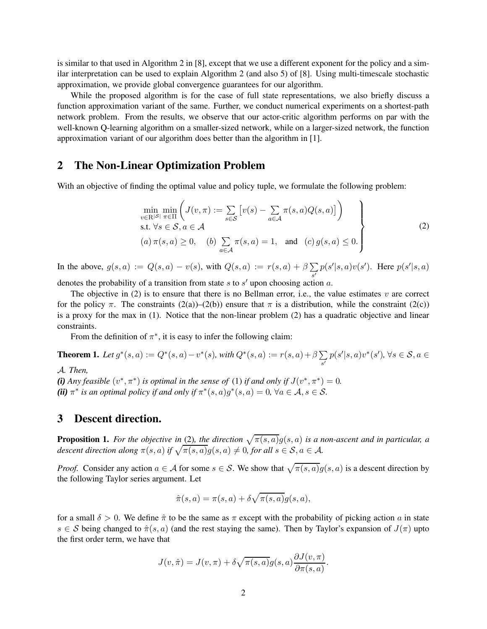is similar to that used in Algorithm 2 in [8], except that we use a different exponent for the policy and a similar interpretation can be used to explain Algorithm 2 (and also 5) of [8]. Using multi-timescale stochastic approximation, we provide global convergence guarantees for our algorithm.

While the proposed algorithm is for the case of full state representations, we also briefly discuss a function approximation variant of the same. Further, we conduct numerical experiments on a shortest-path network problem. From the results, we observe that our actor-critic algorithm performs on par with the well-known Q-learning algorithm on a smaller-sized network, while on a larger-sized network, the function approximation variant of our algorithm does better than the algorithm in [1].

#### **2 The Non-Linear Optimization Problem**

With an objective of finding the optimal value and policy tuple, we formulate the following problem:

$$
\min_{v \in \mathbb{R}^{|S|}} \min_{\pi \in \Pi} \left( J(v, \pi) := \sum_{s \in S} \left[ v(s) - \sum_{a \in \mathcal{A}} \pi(s, a) Q(s, a) \right] \right)
$$
\n
$$
\text{s.t. } \forall s \in S, a \in \mathcal{A}
$$
\n
$$
(a) \pi(s, a) \ge 0, \quad (b) \sum_{a \in \mathcal{A}} \pi(s, a) = 1, \text{ and } (c) g(s, a) \le 0.
$$
\n
$$
(2)
$$

In the above,  $g(s, a) := Q(s, a) - v(s)$ , with  $Q(s, a) := r(s, a) + \beta \sum$  $\sum_{s'} p(s'|s, a)v(s')$ . Here  $p(s'|s, a)$ 

denotes the probability of a transition from state  $s$  to  $s'$  upon choosing action  $a$ .

The objective in (2) is to ensure that there is no Bellman error, i.e., the value estimates  $v$  are correct for the policy  $\pi$ . The constraints (2(a))–(2(b)) ensure that  $\pi$  is a distribution, while the constraint (2(c)) is a proxy for the max in (1). Notice that the non-linear problem (2) has a quadratic objective and linear constraints.

From the definition of  $\pi^*$ , it is easy to infer the following claim:

**Theorem 1.** *Let*  $g^*(s, a) := Q^*(s, a) - v^*(s)$ , with  $Q^*(s, a) := r(s, a) + \beta \sum$  $\sum_{s'} p(s'|s, a)v^*(s'), \forall s \in \mathcal{S}, a \in$ 

A*. Then,*

(*i*) *Any feasible*  $(v^*, \pi^*)$  *is optimal in the sense of* (1) *if and only if*  $J(v^*, \pi^*) = 0$ *.* (*ii*)  $\pi^*$  *is an optimal policy if and only if*  $\pi^*(s, a)g^*(s, a) = 0$ ,  $\forall a \in A, s \in S$ .

## **3 Descent direction.**

**Proposition 1.** For the objective in (2), the direction  $\sqrt{\pi(s, a)}g(s, a)$  is a non-ascent and in particular, a *descent direction along*  $\pi(s, a)$  *if*  $\sqrt{\pi(s, a)}g(s, a) \neq 0$ *, for all*  $s \in \mathcal{S}, a \in \mathcal{A}$ *.* 

*Proof.* Consider any action  $a \in A$  for some  $s \in S$ . We show that  $\sqrt{\pi(s, a)}g(s, a)$  is a descent direction by the following Taylor series argument. Let

$$
\hat{\pi}(s,a) = \pi(s,a) + \delta \sqrt{\pi(s,a)} g(s,a),
$$

for a small  $\delta > 0$ . We define  $\hat{\pi}$  to be the same as  $\pi$  except with the probability of picking action a in state  $s \in S$  being changed to  $\hat{\pi}(s, a)$  (and the rest staying the same). Then by Taylor's expansion of  $J(\pi)$  upto the first order term, we have that

$$
J(v, \hat{\pi}) = J(v, \pi) + \delta \sqrt{\pi(s, a)} g(s, a) \frac{\partial J(v, \pi)}{\partial \pi(s, a)}.
$$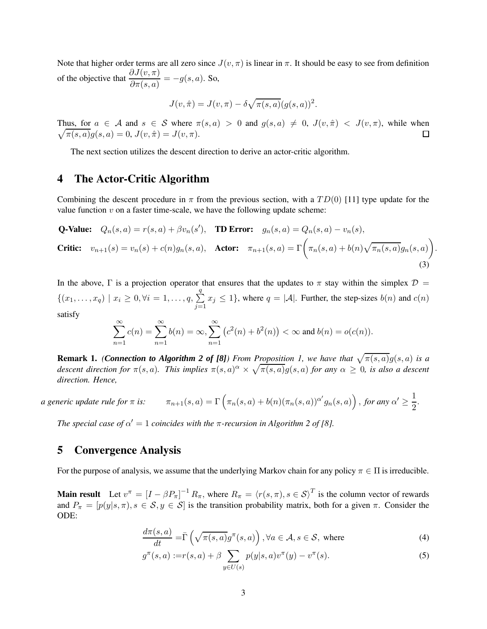Note that higher order terms are all zero since  $J(v, \pi)$  is linear in  $\pi$ . It should be easy to see from definition of the objective that  $\frac{\partial J(v, \pi)}{\partial \pi(s, a)} = -g(s, a)$ . So,

$$
J(v, \hat{\pi}) = J(v, \pi) - \delta \sqrt{\pi(s, a)} (g(s, a))^2.
$$

Thus, for  $a \in \mathcal{A}$  and  $s \in \mathcal{S}$  where  $\pi(s, a) > 0$  and  $g(s, a) \neq 0$ ,  $J(v, \hat{\pi}) < J(v, \pi)$ , while when  $\sqrt{\pi(s, a)}g(s, a) = 0, J(v, \hat{\pi}) = J(v, \pi).$ □

The next section utilizes the descent direction to derive an actor-critic algorithm.

## **4 The Actor-Critic Algorithm**

Combining the descent procedure in  $\pi$  from the previous section, with a  $TD(0)$  [11] type update for the value function  $v$  on a faster time-scale, we have the following update scheme:

**Q-Value:** 
$$
Q_n(s, a) = r(s, a) + \beta v_n(s')
$$
, **TD Error:**  $g_n(s, a) = Q_n(s, a) - v_n(s)$ ,  
**Critic:**  $v_{n+1}(s) = v_n(s) + c(n)g_n(s, a)$ , **Actor:**  $\pi_{n+1}(s, a) = \Gamma\left(\pi_n(s, a) + b(n)\sqrt{\pi_n(s, a)}g_n(s, a)\right)$ . (3)

In the above, Γ is a projection operator that ensures that the updates to  $\pi$  stay within the simplex  $\mathcal{D}$  =  $\{(x_1,\ldots,x_q) \mid x_i \geq 0, \forall i=1,\ldots,q, \sum$ q  $j=1$  $x_j \le 1$ , where  $q = |\mathcal{A}|$ . Further, the step-sizes  $b(n)$  and  $c(n)$ satisfy

$$
\sum_{n=1}^{\infty} c(n) = \sum_{n=1}^{\infty} b(n) = \infty, \sum_{n=1}^{\infty} (c^2(n) + b^2(n)) < \infty \text{ and } b(n) = o(c(n)).
$$

**Remark 1.** *(Connection to Algorithm 2 of [8]) From Proposition 1, we have that*  $\sqrt{\pi(s, a)}g(s, a)$  *is a* descent direction for  $\pi(s, a)$ . This implies  $\pi(s, a)^\alpha \times \sqrt{\pi(s, a)} g(s, a)$  for any  $\alpha \geq 0$ , is also a descent *direction. Hence,*

a generic update rule for 
$$
\pi
$$
 is:  $\pi_{n+1}(s, a) = \Gamma\left(\pi_n(s, a) + b(n)(\pi_n(s, a))^{\alpha'}g_n(s, a)\right)$ , for any  $\alpha' \ge \frac{1}{2}$ .

*The special case of*  $\alpha' = 1$  *coincides with the*  $\pi$ *-recursion in Algorithm 2 of* [8].

#### **5 Convergence Analysis**

For the purpose of analysis, we assume that the underlying Markov chain for any policy  $\pi \in \Pi$  is irreducible.

**Main result** Let  $v^{\pi} = [I - \beta P_{\pi}]^{-1} R_{\pi}$ , where  $R_{\pi} = \langle r(s, \pi), s \in S \rangle^{T}$  is the column vector of rewards and  $P_{\pi} = [p(y|s, \pi), s \in S, y \in S]$  is the transition probability matrix, both for a given  $\pi$ . Consider the ODE:

$$
\frac{d\pi(s,a)}{dt} = \bar{\Gamma}\left(\sqrt{\pi(s,a)}g^{\pi}(s,a)\right), \forall a \in \mathcal{A}, s \in \mathcal{S}, \text{ where}
$$
\n(4)

$$
g^{\pi}(s, a) := r(s, a) + \beta \sum_{y \in U(s)} p(y|s, a)v^{\pi}(y) - v^{\pi}(s).
$$
 (5)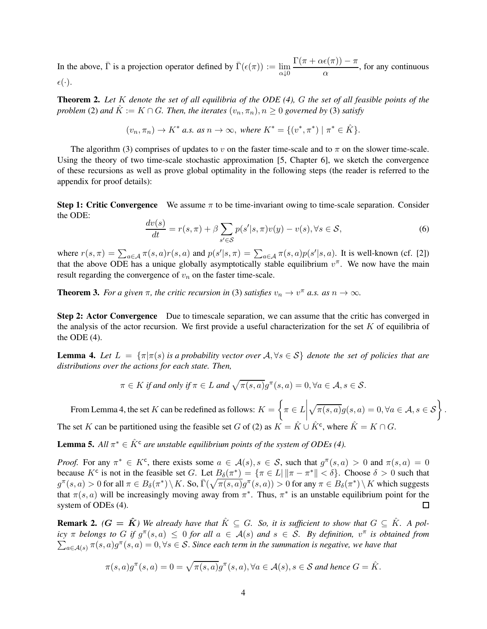In the above,  $\bar{\Gamma}$  is a projection operator defined by  $\bar{\Gamma}(\epsilon(\pi)) := \lim_{\alpha \downarrow 0}$  $\Gamma(\pi+\alpha\epsilon(\pi))-\pi$  $\frac{\alpha}{\alpha}$ , for any continuous  $\epsilon(\cdot).$ 

**Theorem 2.** *Let* K *denote the set of all equilibria of the ODE (4),* G *the set of all feasible points of the problem* (2) *and*  $\hat{K} := K \cap G$ *. Then, the iterates*  $(v_n, \pi_n)$ *,*  $n > 0$  *governed by* (3) *satisfy* 

$$
(v_n, \pi_n) \to K^* \text{ a.s. as } n \to \infty, \text{ where } K^* = \{(v^*, \pi^*) \mid \pi^* \in \hat{K}\}.
$$

The algorithm (3) comprises of updates to v on the faster time-scale and to  $\pi$  on the slower time-scale. Using the theory of two time-scale stochastic approximation [5, Chapter 6], we sketch the convergence of these recursions as well as prove global optimality in the following steps (the reader is referred to the appendix for proof details):

**Step 1: Critic Convergence** We assume  $\pi$  to be time-invariant owing to time-scale separation. Consider the ODE:

$$
\frac{dv(s)}{dt} = r(s,\pi) + \beta \sum_{s' \in \mathcal{S}} p(s'|s,\pi)v(y) - v(s), \forall s \in \mathcal{S},\tag{6}
$$

where  $r(s,\pi) = \sum_{a \in A} \pi(s,a)r(s,a)$  and  $p(s'|s,\pi) = \sum_{a \in A} \pi(s,a)p(s'|s,a)$ . It is well-known (cf. [2]) that the above ODE has a unique globally asymptotically stable equilibrium  $v^{\pi}$ . We now have the main result regarding the convergence of  $v_n$  on the faster time-scale.

**Theorem 3.** *For a given*  $\pi$ *, the critic recursion in* (3) *satisfies*  $v_n \to v^{\pi}$  *a.s. as*  $n \to \infty$ *.* 

**Step 2: Actor Convergence** Due to timescale separation, we can assume that the critic has converged in the analysis of the actor recursion. We first provide a useful characterization for the set  $K$  of equilibria of the ODE  $(4)$ .

**Lemma 4.** Let  $L = \{\pi | \pi(s)$  *is a probability vector over*  $A, \forall s \in S\}$  *denote the set of policies that are distributions over the actions for each state. Then,*

$$
\pi \in K \text{ if and only if } \pi \in L \text{ and } \sqrt{\pi(s,a)}g^{\pi}(s,a) = 0, \forall a \in \mathcal{A}, s \in \mathcal{S}.
$$

From Lemma 4, the set K can be redefined as follows:  $K = \left\{ \pi \in L \right\}$  $\sqrt{\pi(s,a)}g(s,a) = 0, \forall a \in \mathcal{A}, s \in \mathcal{S}\right\}.$ The set K can be partitioned using the feasible set G of (2) as  $K = \hat{K} \cup \hat{K}^c$ , where  $\hat{K} = K \cap G$ .

**Lemma 5.** All  $\pi^* \in \hat{K}^c$  are unstable equilibrium points of the system of ODEs (4).

*Proof.* For any  $\pi^* \in K^c$ , there exists some  $a \in \mathcal{A}(s), s \in \mathcal{S}$ , such that  $g^{\pi}(s, a) > 0$  and  $\pi(s, a) = 0$ because  $K^c$  is not in the feasible set G. Let  $B_\delta(\pi^*) = {\{\pi \in L \mid ||\pi - \pi^*|| < \delta\}}$ . Choose  $\delta > 0$  such that  $g^{\pi}(s, a) > 0$  for all  $\pi \in B_\delta(\pi^*) \setminus K$ . So,  $\bar{\Gamma}(\sqrt{\pi(s, a)}g^{\pi}(s, a)) > 0$  for any  $\pi \in B_\delta(\pi^*) \setminus K$  which suggests that  $\pi(s, a)$  will be increasingly moving away from  $\pi^*$ . Thus,  $\pi^*$  is an unstable equilibrium point for the system of ODEs (4).  $\Box$ 

**Remark 2.**  $(G = \hat{K})$  We already have that  $\hat{K} \subseteq G$ . So, it is sufficient to show that  $G \subseteq \hat{K}$ . A pol- $\int \int$  *icy*  $\pi$  *belongs to* G *if*  $g^{\pi}(s, a) \leq 0$  *for all*  $a \in A(s)$  *and*  $s \in S$ *. By definition,*  $v^{\pi}$  *is obtained from*  $\sum_{a \in \mathcal{A}(s)} \pi(s,a) g^{\pi}(s,a) = 0, \forall s \in \mathcal{S}$ . Since each term in the summation is negative, we have that

$$
\pi(s,a)g^{\pi}(s,a) = 0 = \sqrt{\pi(s,a)}g^{\pi}(s,a), \forall a \in \mathcal{A}(s), s \in \mathcal{S} \text{ and hence } G = \hat{K}.
$$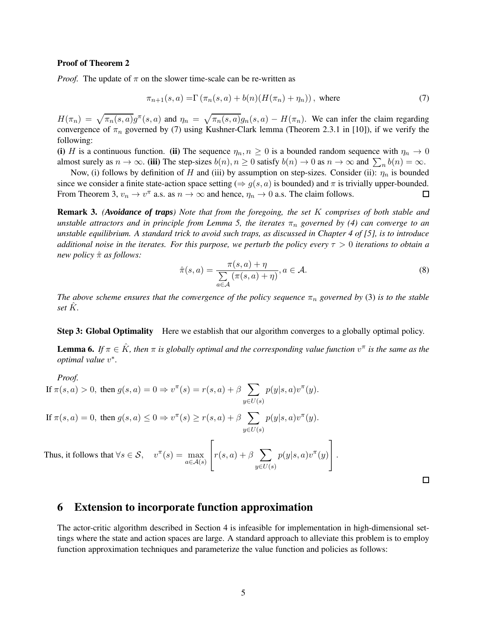#### **Proof of Theorem 2**

*Proof.* The update of  $\pi$  on the slower time-scale can be re-written as

$$
\pi_{n+1}(s,a) = \Gamma(\pi_n(s,a) + b(n)(H(\pi_n) + \eta_n)), \text{ where}
$$
\n(7)

 $H(\pi_n) = \sqrt{\pi_n(s, a)} g^{\pi}(s, a)$  and  $\eta_n = \sqrt{\pi_n(s, a)} g_n(s, a) - H(\pi_n)$ . We can infer the claim regarding convergence of  $\pi_n$  governed by (7) using Kushner-Clark lemma (Theorem 2.3.1 in [10]), if we verify the following:

**(i)** H is a continuous function. **(ii)** The sequence  $\eta_n, n \geq 0$  is a bounded random sequence with  $\eta_n \to 0$ almost surely as  $n \to \infty$ . (iii) The step-sizes  $b(n), n \ge 0$  satisfy  $b(n) \to 0$  as  $n \to \infty$  and  $\sum_n b(n) = \infty$ .

Now, (i) follows by definition of H and (iii) by assumption on step-sizes. Consider (ii):  $\eta_n$  is bounded since we consider a finite state-action space setting ( $\Rightarrow g(s, a)$  is bounded) and  $\pi$  is trivially upper-bounded. From Theorem 3,  $v_n \to v^{\pi}$  a.s. as  $n \to \infty$  and hence,  $\eta_n \to 0$  a.s. The claim follows. □

**Remark 3.** *(Avoidance of traps) Note that from the foregoing, the set* K *comprises of both stable and unstable attractors and in principle from Lemma 5, the iterates*  $\pi_n$  *governed by (4) can converge to an unstable equilibrium. A standard trick to avoid such traps, as discussed in Chapter 4 of [5], is to introduce additional noise in the iterates. For this purpose, we perturb the policy every* τ > 0 *iterations to obtain a new policy* πˆ *as follows:*

$$
\hat{\pi}(s, a) = \frac{\pi(s, a) + \eta}{\sum_{a \in \mathcal{A}} (\pi(s, a) + \eta)}, a \in \mathcal{A}.
$$
\n(8)

*The above scheme ensures that the convergence of the policy sequence*  $\pi_n$  *governed by* (3) *is to the stable set*  $\hat{K}$ *.* 

#### **Step 3: Global Optimality** Here we establish that our algorithm converges to a globally optimal policy.

**Lemma 6.** If  $\pi \in \hat{K}$ , then  $\pi$  is globally optimal and the corresponding value function  $v^{\pi}$  is the same as the *optimal value* v ∗ *.*

*Proof.* If  $\pi(s, a) > 0$ , then  $g(s, a) = 0 \Rightarrow v^{\pi}(s) = r(s, a) + \beta \sum$  $y{\in}U(s)$  $p(y|s, a)v^{\pi}(y)$ . If  $\pi(s, a) = 0$ , then  $g(s, a) \leq 0 \Rightarrow v^{\pi}(s) \geq r(s, a) + \beta \sum_{s=0}^{\infty}$  $y{\in}U(s)$  $p(y|s, a)v^{\pi}(y)$ . Thus, it follows that  $\forall s \in \mathcal{S}$ ,  $v^{\pi}(s) = \max_{a \in \mathcal{A}(s)}$  $\sqrt{ }$  $r(s,a) + \beta \sum_{i=1}^{n}$  $p(y|s, a)v^{\pi}(y)$ 1  $|\cdot$ 

 $\Box$ 

#### **6 Extension to incorporate function approximation**

The actor-critic algorithm described in Section 4 is infeasible for implementation in high-dimensional settings where the state and action spaces are large. A standard approach to alleviate this problem is to employ function approximation techniques and parameterize the value function and policies as follows:

 $y{\in}U(s)$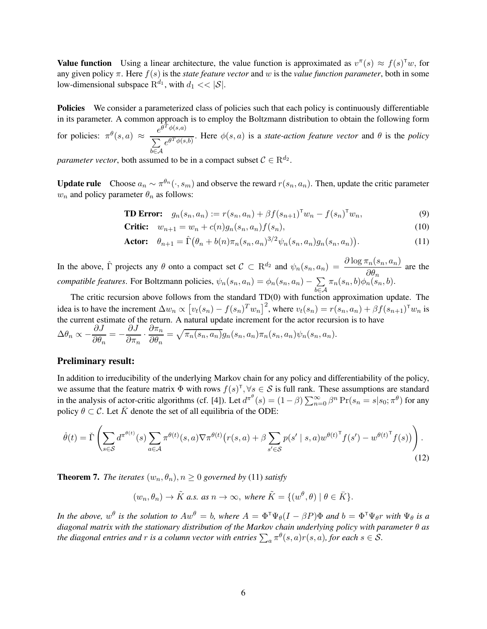**Value function** Using a linear architecture, the value function is approximated as  $v^{\pi}(s) \approx f(s)^{\pi}w$ , for any given policy  $\pi$ . Here  $f(s)$  is the *state feature vector* and w is the *value function parameter*, both in some low-dimensional subspace  $\mathbb{R}^{d_1}$ , with  $d_1 << |\mathcal{S}|$ .

**Policies** We consider a parameterized class of policies such that each policy is continuously differentiable in its parameter. A common approach is to employ the Boltzmann distribution to obtain the following form

for policies:  $\pi^{\theta}(s, a) \approx \frac{e^{\theta^{\hat{T}}\phi(s, a)}}{\sum_{\hat{T} \in \mathcal{A}(s)} a_{\hat{T} \hat{\phi}(s)}}$  $\sum$ b∈A  $\frac{e^{\theta^T \phi(s,b)}}{e^{\theta^T \phi(s,b)}}$ . Here  $\phi(s,a)$  is a *state-action feature vector* and  $\theta$  is the *policy* 

*parameter vector*, both assumed to be in a compact subset  $C \in \mathbb{R}^{d_2}$ .

**Update rule** Choose  $a_n \sim \pi^{\theta_n}(\cdot, s_m)$  and observe the reward  $r(s_n, a_n)$ . Then, update the critic parameter  $w_n$  and policy parameter  $\theta_n$  as follows:

**TD Error:** 
$$
g_n(s_n, a_n) := r(s_n, a_n) + \beta f(s_{n+1})^{\mathsf{T}} w_n - f(s_n)^{\mathsf{T}} w_n,
$$
 (9)

$$
Critic: \t w_{n+1} = w_n + c(n)g_n(s_n, a_n)f(s_n), \t (10)
$$

**Actor:** 
$$
\theta_{n+1} = \hat{\Gamma}(\theta_n + b(n)\pi_n(s_n, a_n)^{3/2}\psi_n(s_n, a_n)g_n(s_n, a_n)).
$$
 (11)

In the above,  $\hat{\Gamma}$  projects any  $\theta$  onto a compact set  $C \subset \mathbb{R}^{d_2}$  and  $\psi_n(s_n, a_n) = \frac{\partial \log \pi_n(s_n, a_n)}{\partial \theta_n}$  are the *compatible features*. For Boltzmann policies,  $\psi_n(s_n, a_n) = \phi_n(s_n, a_n) - \sum_{n=1}^{\infty} \psi_n(s_n, a_n)$ b∈A  $\pi_n(s_n, b)\phi_n(s_n, b).$ 

The critic recursion above follows from the standard TD(0) with function approximation update. The idea is to have the increment  $\Delta w_n \propto [v_t(s_n) - f(s_n)^T w_n]^2$ , where  $v_t(s_n) = r(s_n, a_n) + \beta f(s_{n+1})^T w_n$  is the current estimate of the return. A natural update increment for the actor recursion is to have

$$
\Delta\theta_n \propto -\frac{\partial J}{\partial\theta_n} = -\frac{\partial J}{\partial\pi_n} \cdot \frac{\partial\pi_n}{\partial\theta_n} = \sqrt{\pi_n(s_n, a_n)}g_n(s_n, a_n)\pi_n(s_n, a_n)\psi_n(s_n, a_n).
$$

#### **Preliminary result:**

In addition to irreducibility of the underlying Markov chain for any policy and differentiability of the policy, we assume that the feature matrix  $\Phi$  with rows  $f(s)^\top, \forall s \in S$  is full rank. These assumptions are standard in the analysis of actor-critic algorithms (cf. [4]). Let  $d^{\pi^\theta}(s) = (1-\beta) \sum_{n=0}^{\infty} \beta^n \Pr(s_n = s | s_0; \pi^\theta)$  for any policy  $\theta \subset \mathcal{C}$ . Let  $\overline{K}$  denote the set of all equilibria of the ODE:

$$
\dot{\theta}(t) = \check{\Gamma}\left(\sum_{s \in \mathcal{S}} d^{\pi^{\theta(t)}}(s) \sum_{a \in \mathcal{A}} \pi^{\theta(t)}(s, a) \nabla \pi^{\theta(t)}\left(r(s, a) + \beta \sum_{s' \in \mathcal{S}} p(s' \mid s, a) w^{\theta(t)}^{\mathsf{T}} f(s') - w^{\theta(t)^{\mathsf{T}}} f(s)\right)\right).
$$
\n(12)

**Theorem 7.** *The iterates*  $(w_n, \theta_n)$ ,  $n \geq 0$  governed by (11) satisfy

 $(w_n, \theta_n) \to \tilde{K}$  *a.s. as*  $n \to \infty$ , where  $\tilde{K} = \{(w^{\theta}, \theta) \mid \theta \in \bar{K}\}.$ 

*In the above,*  $w^{\theta}$  *is the solution to*  $Aw^{\theta} = b$ *, where*  $A = \Phi^{\dagger} \Psi_{\theta} (I - \beta P) \Phi$  *and*  $b = \Phi^{\dagger} \Psi_{\theta} r$  *with*  $\Psi_{\theta}$  *is a diagonal matrix with the stationary distribution of the Markov chain underlying policy with parameter* θ *as* the diagonal entries and  $r$  is a column vector with entries  $\sum_a \pi^{\theta}(s, a)r(s, a)$ , for each  $s \in \mathcal{S}$ .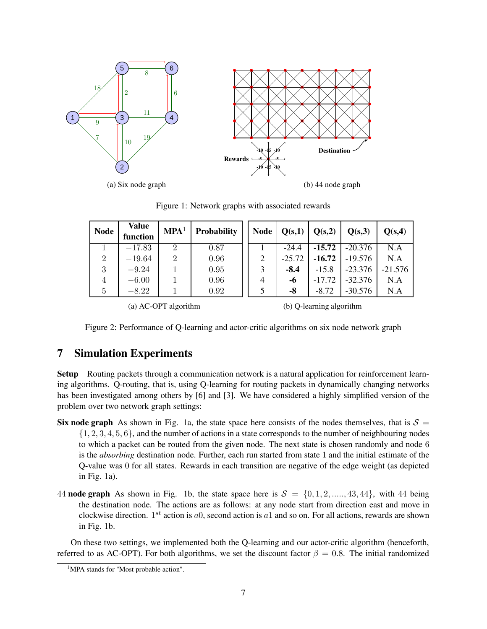

Figure 1: Network graphs with associated rewards

| <b>Node</b>    | Value<br>function | MPA <sup>1</sup> | <b>Probability</b> | <b>Node</b>    | Q(s,1)   | Q(s,2)   | Q(s,3)    | Q(s,4)    |
|----------------|-------------------|------------------|--------------------|----------------|----------|----------|-----------|-----------|
|                | $-17.83$          | $\overline{2}$   | 0.87               |                | $-24.4$  | $-15.72$ | $-20.376$ | N.A       |
| $\overline{2}$ | $-19.64$          | $\overline{2}$   | 0.96               | $\overline{2}$ | $-25.72$ | $-16.72$ | $-19.576$ | N.A       |
| 3              | $-9.24$           |                  | 0.95               | 3              | $-8.4$   | $-15.8$  | $-23.376$ | $-21.576$ |
| 4              | $-6.00$           |                  | 0.96               | $\overline{4}$ | -6       | $-17.72$ | $-32.376$ | N.A       |
| 5              | $-8.22$           |                  | 0.92               | 5              | -8       | $-8.72$  | $-30.576$ | N.A       |
|                |                   |                  |                    |                |          |          |           |           |

(a) AC-OPT algorithm

(b) Q-learning algorithm

Figure 2: Performance of Q-learning and actor-critic algorithms on six node network graph

## **7 Simulation Experiments**

**Setup** Routing packets through a communication network is a natural application for reinforcement learning algorithms. Q-routing, that is, using Q-learning for routing packets in dynamically changing networks has been investigated among others by [6] and [3]. We have considered a highly simplified version of the problem over two network graph settings:

- **Six node graph** As shown in Fig. 1a, the state space here consists of the nodes themselves, that is  $S =$  $\{1, 2, 3, 4, 5, 6\}$ , and the number of actions in a state corresponds to the number of neighbouring nodes to which a packet can be routed from the given node. The next state is chosen randomly and node 6 is the *absorbing* destination node. Further, each run started from state 1 and the initial estimate of the Q-value was 0 for all states. Rewards in each transition are negative of the edge weight (as depicted in Fig. 1a).
- 44 **node graph** As shown in Fig. 1b, the state space here is  $S = \{0, 1, 2, \ldots, 43, 44\}$ , with 44 being the destination node. The actions are as follows: at any node start from direction east and move in clockwise direction.  $1^{st}$  action is a0, second action is a1 and so on. For all actions, rewards are shown in Fig. 1b.

On these two settings, we implemented both the Q-learning and our actor-critic algorithm (henceforth, referred to as AC-OPT). For both algorithms, we set the discount factor  $\beta = 0.8$ . The initial randomized

<sup>&</sup>lt;sup>1</sup>MPA stands for "Most probable action".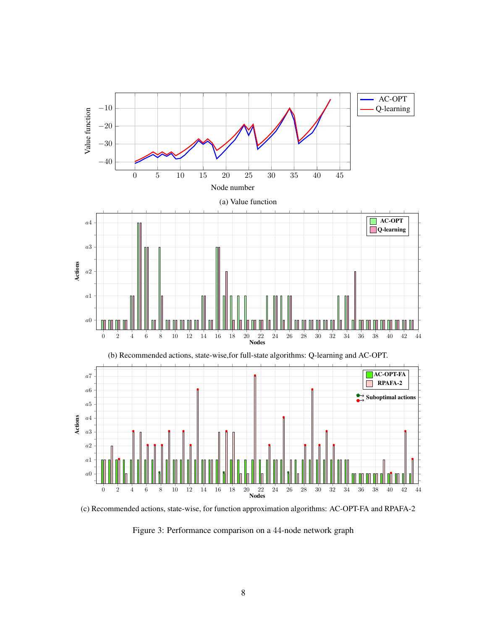

(c) Recommended actions, state-wise, for function approximation algorithms: AC-OPT-FA and RPAFA-2

Figure 3: Performance comparison on a 44-node network graph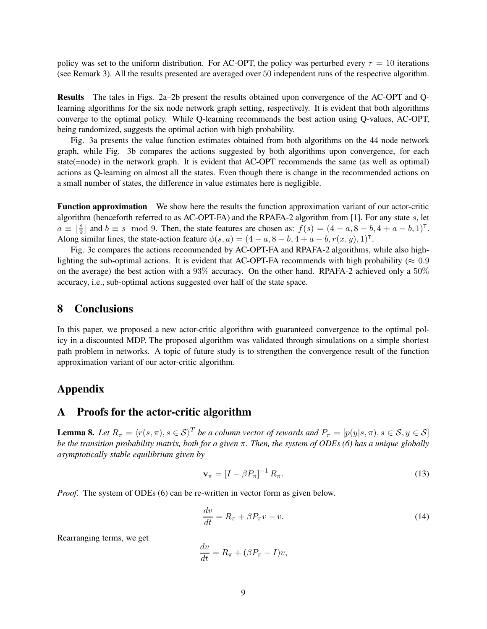policy was set to the uniform distribution. For AC-OPT, the policy was perturbed every  $\tau = 10$  iterations (see Remark 3). All the results presented are averaged over 50 independent runs of the respective algorithm.

**Results** The tales in Figs. 2a–2b present the results obtained upon convergence of the AC-OPT and Qlearning algorithms for the six node network graph setting, respectively. It is evident that both algorithms converge to the optimal policy. While Q-learning recommends the best action using Q-values, AC-OPT, being randomized, suggests the optimal action with high probability.

Fig. 3a presents the value function estimates obtained from both algorithms on the 44 node network graph, while Fig. 3b compares the actions suggested by both algorithms upon convergence, for each state(=node) in the network graph. It is evident that AC-OPT recommends the same (as well as optimal) actions as Q-learning on almost all the states. Even though there is change in the recommended actions on a small number of states, the difference in value estimates here is negligible.

**Function approximation** We show here the results the function approximation variant of our actor-critic algorithm (henceforth referred to as AC-OPT-FA) and the RPAFA-2 algorithm from [1]. For any state s, let  $a \equiv \lfloor \frac{s}{9} \rfloor$  and  $b \equiv s \mod 9$ . Then, the state features are chosen as:  $f(s) = (4 - a, 8 - b, 4 + a - b, 1)^T$ . Along similar lines, the state-action feature  $\phi(s, a) = (4 - a, 8 - b, 4 + a - b, r(x, y), 1)^{\top}$ .

Fig. 3c compares the actions recommended by AC-OPT-FA and RPAFA-2 algorithms, while also highlighting the sub-optimal actions. It is evident that AC-OPT-FA recommends with high probability ( $\approx 0.9$ ) on the average) the best action with a 93% accuracy. On the other hand. RPAFA-2 achieved only a 50% accuracy, i.e., sub-optimal actions suggested over half of the state space.

#### **8 Conclusions**

In this paper, we proposed a new actor-critic algorithm with guaranteed convergence to the optimal policy in a discounted MDP. The proposed algorithm was validated through simulations on a simple shortest path problem in networks. A topic of future study is to strengthen the convergence result of the function approximation variant of our actor-critic algorithm.

## **Appendix**

## **A Proofs for the actor-critic algorithm**

**Lemma 8.** Let  $R_\pi = \langle r(s,\pi), s \in S \rangle^T$  be a column vector of rewards and  $P_\pi = [p(y|s,\pi), s \in S, y \in S]$ *be the transition probability matrix, both for a given* π*. Then, the system of ODEs (6) has a unique globally asymptotically stable equilibrium given by*

$$
\mathbf{v}_{\pi} = \left[I - \beta P_{\pi}\right]^{-1} R_{\pi}.
$$
\n<sup>(13)</sup>

*Proof.* The system of ODEs (6) can be re-written in vector form as given below.

$$
\frac{dv}{dt} = R_{\pi} + \beta P_{\pi} v - v.
$$
\n(14)

Rearranging terms, we get

$$
\frac{dv}{dt} = R_{\pi} + (\beta P_{\pi} - I)v,
$$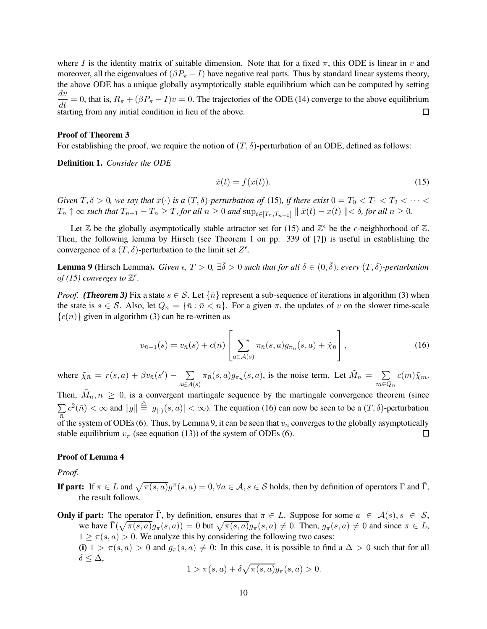where I is the identity matrix of suitable dimension. Note that for a fixed  $\pi$ , this ODE is linear in v and moreover, all the eigenvalues of  $(\beta P_{\pi} - I)$  have negative real parts. Thus by standard linear systems theory, the above ODE has a unique globally asymptotically stable equilibrium which can be computed by setting  $\frac{dv}{dt} = 0$ , that is,  $R_{\pi} + (\beta P_{\pi} - I)v = 0$ . The trajectories of the ODE (14) converge to the above equilibrium starting from any initial condition in lieu of the above.

#### **Proof of Theorem 3**

For establishing the proof, we require the notion of  $(T, \delta)$ -perturbation of an ODE, defined as follows:

**Definition 1.** *Consider the ODE*

$$
\dot{x}(t) = f(x(t)).\tag{15}
$$

*Given*  $T, \delta > 0$ *, we say that*  $\bar{x}(\cdot)$  *is a*  $(T, \delta)$ *-perturbation of* (15)*, if there exist*  $0 = T_0 < T_1 < T_2 < \cdots <$  $T_n \uparrow \infty$  *such that*  $T_{n+1} - T_n \geq T$ , *for all*  $n \geq 0$  *and*  $\sup_{t \in [T_n, T_{n+1}]} || \bar{x}(t) - x(t) || < \delta$ , *for all*  $n \geq 0$ .

Let  $\mathbb Z$  be the globally asymptotically stable attractor set for (15) and  $\mathbb Z^{\epsilon}$  be the  $\epsilon$ -neighborhood of  $\mathbb Z$ . Then, the following lemma by Hirsch (see Theorem 1 on pp. 339 of [7]) is useful in establishing the convergence of a  $(T, \delta)$ -perturbation to the limit set  $Z^{\epsilon}$ .

**Lemma 9** (Hirsch Lemma). *Given*  $\epsilon$ ,  $T > 0$ ,  $\exists \bar{\delta} > 0$  *such that for all*  $\delta \in (0, \bar{\delta})$ , *every*  $(T, \delta)$ -perturbation *of* (15) converges to  $\mathbb{Z}^{\epsilon}$ .

*Proof.* (Theorem 3) Fix a state  $s \in S$ . Let  $\{\bar{n}\}$  represent a sub-sequence of iterations in algorithm (3) when the state is  $s \in S$ . Also, let  $Q_n = {\overline{n} : \overline{n} < n}$ . For a given  $\pi$ , the updates of v on the slower time-scale  ${c(n)}$  given in algorithm (3) can be re-written as

$$
v_{\bar{n}+1}(s) = v_{\bar{n}}(s) + c(n) \left[ \sum_{a \in \mathcal{A}(s)} \pi_{\bar{n}}(s, a) g_{\pi_{\bar{n}}}(s, a) + \tilde{\chi}_{\bar{n}} \right],
$$
(16)

where  $\tilde{\chi}_{\bar{n}} = r(s, a) + \beta v_{\bar{n}}(s') - \sum$  $a{\in}\mathcal{A}(s)$  $\pi_{\bar{n}}(s, a) g_{\pi_{\bar{n}}}(s, a)$ , is the noise term. Let  $\tilde{M}_n = \sum$  $m{\in}Q_n$  $c(m)\tilde{\chi}_m.$ 

Then,  $\tilde{M}_n, n \geq 0$ , is a convergent martingale sequence by the martingale convergence theorem (since  $\sum c^2(\bar{n}) < \infty$  and  $||g|| \stackrel{\triangle}{=} |g_{(\cdot)}(s, a)| < \infty$ ). The equation (16) can now be seen to be a  $(T, \delta)$ -perturbation  $\overline{n}$  of the system of ODEs (6). Thus, by Lemma 9, it can be seen that  $v_n$  converges to the globally asymptotically stable equilibrium  $v_\pi$  (see equation (13)) of the system of ODEs (6).  $\Box$ 

#### **Proof of Lemma 4**

*Proof.*

**If part:** If  $\pi \in L$  and  $\sqrt{\pi(s, a)}g^{\pi}(s, a) = 0, \forall a \in \mathcal{A}, s \in \mathcal{S}$  holds, then by definition of operators  $\Gamma$  and  $\overline{\Gamma}$ , the result follows.

**Only if part:** The operator  $\overline{\Gamma}$ , by definition, ensures that  $\pi \in L$ . Suppose for some  $a \in \mathcal{A}(s), s \in \mathcal{S}$ , we have  $\overline{\Gamma}(\sqrt{\pi(s,a)}g_{\pi}(s,a)) = 0$  but  $\sqrt{\pi(s,a)}g_{\pi}(s,a) \neq 0$ . Then,  $g_{\pi}(s,a) \neq 0$  and since  $\pi \in L$ ,  $1 \ge \pi(s, a) > 0$ . We analyze this by considering the following two cases: (i)  $1 > \pi(s, a) > 0$  and  $g_\pi(s, a) \neq 0$ : In this case, it is possible to find a  $\Delta > 0$  such that for all δ ≤ ∆,

$$
1 > \pi(s, a) + \delta \sqrt{\pi(s, a)} g_{\pi}(s, a) > 0.
$$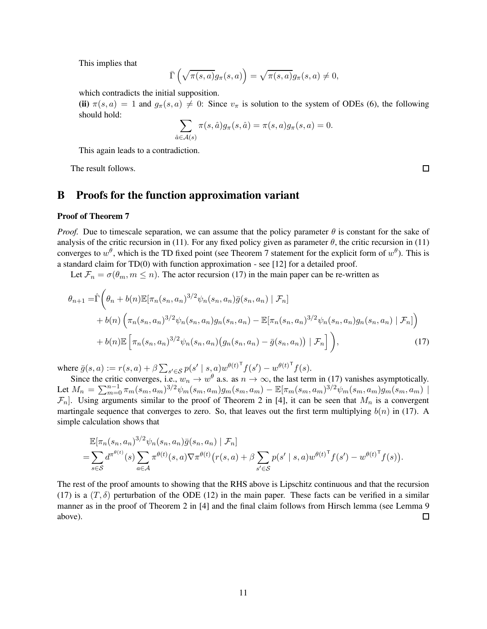This implies that

$$
\bar{\Gamma}\left(\sqrt{\pi(s,a)}g_{\pi}(s,a)\right)=\sqrt{\pi(s,a)}g_{\pi}(s,a)\neq 0,
$$

which contradicts the initial supposition.

(ii)  $\pi(s, a) = 1$  and  $g_{\pi}(s, a) \neq 0$ : Since  $v_{\pi}$  is solution to the system of ODEs (6), the following should hold:

$$
\sum_{\hat{a}\in\mathcal{A}(s)}\pi(s,\hat{a})g_{\pi}(s,\hat{a})=\pi(s,a)g_{\pi}(s,a)=0.
$$

This again leads to a contradiction.

The result follows.

 $\Box$ 

.

## **B Proofs for the function approximation variant**

#### **Proof of Theorem 7**

*Proof.* Due to timescale separation, we can assume that the policy parameter  $\theta$  is constant for the sake of analysis of the critic recursion in (11). For any fixed policy given as parameter  $\theta$ , the critic recursion in (11) converges to  $w^{\theta}$ , which is the TD fixed point (see Theorem 7 statement for the explicit form of  $w^{\theta}$ ). This is a standard claim for TD(0) with function approximation - see [12] for a detailed proof.

Let  $\mathcal{F}_n = \sigma(\theta_m, m \leq n)$ . The actor recursion (17) in the main paper can be re-written as

$$
\theta_{n+1} = \hat{\Gamma}\left(\theta_n + b(n)\mathbb{E}[\pi_n(s_n, a_n)^{3/2}\psi_n(s_n, a_n)\bar{g}(s_n, a_n) | \mathcal{F}_n] + b(n)\left(\pi_n(s_n, a_n)^{3/2}\psi_n(s_n, a_n)g_n(s_n, a_n) - \mathbb{E}[\pi_n(s_n, a_n)^{3/2}\psi_n(s_n, a_n)g_n(s_n, a_n) | \mathcal{F}_n]\right) + b(n)\mathbb{E}\left[\pi_n(s_n, a_n)^{3/2}\psi_n(s_n, a_n)\left(g_n(s_n, a_n) - \bar{g}(s_n, a_n)\right) | \mathcal{F}_n]\right),\tag{17}
$$

where  $\bar{g}(s, a) := r(s, a) + \beta \sum_{s' \in \mathcal{S}} p(s' \mid s, a) w^{\theta(t)^\mathsf{T}} f(s') - w^{\theta(t)^\mathsf{T}} f(s)$ .

Since the critic converges, i.e.,  $w_n \to w^\theta$  a.s. as  $n \to \infty$ , the last term in (17) vanishes asymptotically. Let  $M_n = \sum_{m=0}^{n-1} \pi_m(s_m, a_m)^{3/2} \psi_m(s_m, a_m) g_m(s_m, a_m) - \mathbb{E}[\pi_m(s_m, a_m)^{3/2} \psi_m(s_m, a_m) g_m(s_m, a_m)]$  $\mathcal{F}_n$ . Using arguments similar to the proof of Theorem 2 in [4], it can be seen that  $M_n$  is a convergent martingale sequence that converges to zero. So, that leaves out the first term multiplying  $b(n)$  in (17). A simple calculation shows that

$$
\mathbb{E}[\pi_n(s_n, a_n)^{3/2} \psi_n(s_n, a_n) \bar{g}(s_n, a_n) | \mathcal{F}_n]
$$
\n
$$
= \sum_{s \in \mathcal{S}} d^{\pi^{\theta(t)}}(s) \sum_{a \in \mathcal{A}} \pi^{\theta(t)}(s, a) \nabla \pi^{\theta(t)}(r(s, a) + \beta \sum_{s' \in \mathcal{S}} p(s' \mid s, a) w^{\theta(t)} \tau(s') - w^{\theta(t)} \tau(s))
$$

The rest of the proof amounts to showing that the RHS above is Lipschitz continuous and that the recursion (17) is a  $(T, \delta)$  perturbation of the ODE (12) in the main paper. These facts can be verified in a similar manner as in the proof of Theorem 2 in [4] and the final claim follows from Hirsch lemma (see Lemma 9 above). 口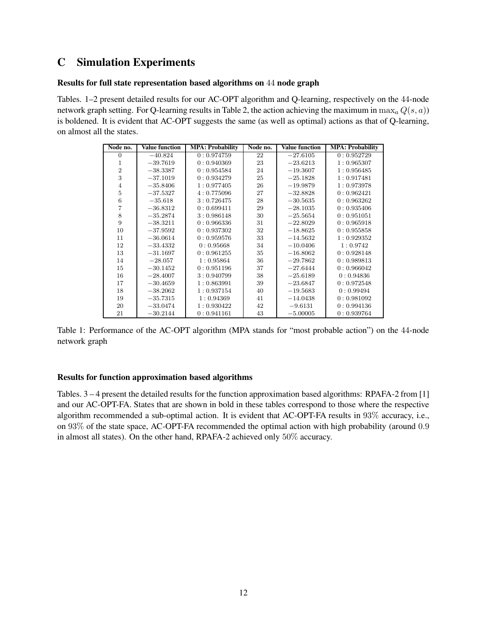# **C Simulation Experiments**

#### **Results for full state representation based algorithms on** 44 **node graph**

Tables. 1–2 present detailed results for our AC-OPT algorithm and Q-learning, respectively on the 44-node network graph setting. For Q-learning results in Table 2, the action achieving the maximum in  $\max_a Q(s, a)$ ) is boldened. It is evident that AC-OPT suggests the same (as well as optimal) actions as that of Q-learning, on almost all the states.

| Node no.       | <b>Value function</b> | <b>MPA: Probability</b> | Node no. | <b>Value</b> function | <b>MPA</b> : Probability |
|----------------|-----------------------|-------------------------|----------|-----------------------|--------------------------|
| 0              | $-40.824$             | 0:0.974759              | 22       | $-27.6105$            | 0:0.952729               |
| 1              | $-39.7619$            | 0: 0.940369             | 23       | $-23.6213$            | 1:0.965307               |
| $\overline{2}$ | $-38.3387$            | 0: 0.954584             | 24       | $-19.3607$            | 1:0.956485               |
| 3              | $-37.1019$            | 0: 0.934279             | 25       | $-25.1828$            | 1:0.917481               |
| 4              | $-35.8406$            | 1:0.977405              | 26       | $-19.9879$            | 1:0.973978               |
| 5              | $-37.5327$            | 4:0.775096              | 27       | $-32.8828$            | 0:0.962421               |
| 6              | $-35.618$             | 3:0.726475              | 28       | $-30.5635$            | 0: 0.963262              |
| 7              | $-36.8312$            | 0:0.699411              | 29       | $-28.1035$            | 0:0.935406               |
| 8              | $-35.2874$            | 3:0.986148              | 30       | $-25.5654$            | 0: 0.951051              |
| 9              | $-38.3211$            | 0: 0.966336             | 31       | $-22.8029$            | 0:0.965918               |
| 10             | $-37.9592$            | 0: 0.937302             | 32       | $-18.8625$            | 0:0.955858               |
| 11             | $-36.0614$            | 0: 0.959576             | 33       | $-14.5632$            | 1:0.929352               |
| 12             | $-33.4332$            | 0:0.95668               | 34       | $-10.0406$            | 1:0.9742                 |
| 13             | $-31.1697$            | 0: 0.961255             | 35       | $-16.8062$            | 0:0.928148               |
| 14             | $-28.057$             | 1:0.95864               | 36       | $-29.7862$            | 0:0.989813               |
| 15             | $-30.1452$            | 0:0.951196              | 37       | $-27.6444$            | 0:0.966042               |
| 16             | $-28.4007$            | 3:0.940799              | 38       | $-25.6189$            | 0:0.94836                |
| 17             | $-30.4659$            | 1:0.863991              | 39       | $-23.6847$            | 0:0.972548               |
| 18             | $-38.2062$            | 1: 0.937154             | 40       | $-19.5683$            | 0: 0.99494               |
| 19             | $-35.7315$            | 1:0.94369               | 41       | $-14.0438$            | 0:0.981092               |
| 20             | $-33.0474$            | 1:0.930422              | 42       | $-9.6131$             | 0:0.994136               |
| 21             | $-30.2144$            | 0: 0.941161             | 43       | $-5.00005$            | 0: 0.939764              |

Table 1: Performance of the AC-OPT algorithm (MPA stands for "most probable action") on the 44-node network graph

#### **Results for function approximation based algorithms**

Tables. 3 – 4 present the detailed results for the function approximation based algorithms: RPAFA-2 from [1] and our AC-OPT-FA. States that are shown in bold in these tables correspond to those where the respective algorithm recommended a sub-optimal action. It is evident that AC-OPT-FA results in 93% accuracy, i.e., on 93% of the state space, AC-OPT-FA recommended the optimal action with high probability (around 0.9 in almost all states). On the other hand, RPAFA-2 achieved only 50% accuracy.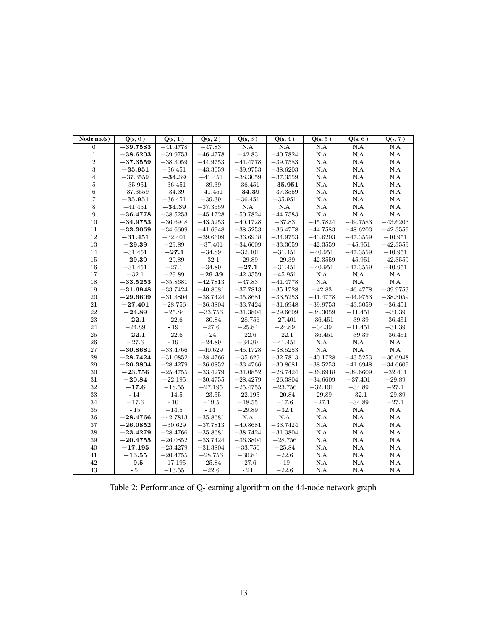| Node $no(s)$     | Q(s, 0)    | Q(s, 1)    | $\overline{Q(s, 2)}$ | $\overline{Q(s, 3)}$ | Q(s, 4)    | Q(s, 5)           | Q(s, 6)           | Q(s, 7)      |
|------------------|------------|------------|----------------------|----------------------|------------|-------------------|-------------------|--------------|
| $\overline{0}$   | $-39.7583$ | $-41.4778$ | $-47.83$             | N.A                  | N.A        | N.A               | N.A               | N.A          |
| $\,1\,$          | $-38.6203$ | $-39.9753$ | $-46.4778$           | $-42.83$             | $-40.7824$ | $\rm N.A$         | N.A               | $\rm N.A$    |
| $\overline{2}$   | $-37.3559$ | $-38.3059$ | $-44.9753$           | $-41.4778$           | $-39.7583$ | N.A               | $\rm N.A$         | $\rm N.A$    |
| 3                | $-35.951$  | $-36.451$  | $-43.3059$           | $-39.9753$           | $-38.6203$ | $\rm N.A$         | $\rm N.A$         | $\rm N.A$    |
| $\overline{4}$   | $-37.3559$ | $-34.39$   | $-41.451$            | $-38.3059$           | $-37.3559$ | $\rm N.A$         | N.A               | $_{\rm N.A}$ |
| $\overline{5}$   | $-35.951$  | $-36.451$  | $-39.39$             | $-36.451$            | $-35.951$  | N.A               | N.A               | $\rm N.A$    |
| $\sqrt{6}$       | $-37.3559$ | $-34.39$   | $-41.451$            | $-34.39$             | $-37.3559$ | N.A               | $\rm N.A$         | $\rm N.A$    |
| $\overline{7}$   | $-35.951$  | $-36.451$  | $-39.39\,$           | $-36.451$            | $-35.951$  | $\rm N.A$         | $\rm N.A$         | $\rm N.A$    |
| 8                | $-41.451$  | $-34.39$   | $-37.3559$           | N.A                  | N.A        | $\rm N.A$         | $\rm N.A$         | $\rm N.A$    |
| $\boldsymbol{9}$ | $-36.4778$ | $-38.5253$ | $-45.1728$           | $-50.7824$           | $-44.7583$ | $\rm N.A$         | $\rm N.A$         | N.A          |
| $10\,$           | $-34.9753$ | $-36.6948$ | $-43.5253$           | $-40.1728$           | $-37.83$   | $-45.7824$        | $-49.7583$        | $-43.6203$   |
| $11\,$           | $-33.3059$ | $-34.6609$ | $-41.6948$           | $-38.5253$           | $-36.4778$ | $-44.7583$        | $-48.6203$        | $-42.3559$   |
| $12\,$           | $-31.451$  | $-32.401$  | $-39.6609$           | $-36.6948$           | $-34.9753$ | $-43.6203$        | $-47.3559$        | $-40.951$    |
| 13               | $-29.39$   | $-29.89\,$ | $-37.401$            | $-34.6609$           | $-33.3059$ | $-42.3559$        | $-45.951\,$       | $-42.3559$   |
| 14               | $-31.451$  | $-27.1$    | $-34.89$             | $-32.401$            | $-31.451$  | $-40.951$         | $-47.3559$        | $-40.951$    |
| 15               | $-29.39$   | $-29.89$   | $-32.1$              | $-29.89$             | $-29.39$   | $-42.3559$        | $-45.951$         | $-42.3559$   |
| 16               | $-31.451$  | $-27.1\,$  | $-34.89$             | $-27.1$              | $-31.451$  | $-40.951$         | $-47.3559$        | $-40.951$    |
| 17               | $-32.1$    | $-29.89$   | $-29.39$             | $-42.3559$           | $-45.951$  | N.A               | $_{\mathrm{N.A}}$ | $\rm N.A$    |
| 18               | $-33.5253$ | $-35.8681$ | $-42.7813$           | $-47.83$             | $-41.4778$ | $\rm N.A$         | $\rm N.A$         | N.A          |
| 19               | $-31.6948$ | $-33.7424$ | $-40.8681$           | $-37.7813$           | $-35.1728$ | $-42.83$          | $-46.4778$        | $-39.9753$   |
| 20               | $-29.6609$ | $-31.3804$ | $-38.7424$           | $-35.8681$           | $-33.5253$ | $-41.4778$        | $-44.9753$        | $-38.3059$   |
| 21               | $-27.401$  | $-28.756$  | $-36.3804$           | $-33.7424$           | $-31.6948$ | $-39.9753$        | $-43.3059$        | $-36.451$    |
| 22               | $-24.89$   | $-25.84$   | $-33.756$            | $-31.3804$           | $-29.6609$ | $-38.3059$        | $-41.451$         | $-34.39$     |
| $23\,$           | $-22.1$    | $-22.6$    | $-30.84$             | $-28.756$            | $-27.401$  | $-36.451$         | $-39.39$          | $-36.451$    |
| 24               | $-24.89$   | $-19$      | $-27.6$              | $-25.84$             | $-24.89$   | $-34.39$          | $-41.451$         | $-34.39\,$   |
| 25               | $-22.1$    | $-22.6$    | $-24$                | $-22.6$              | $-22.1$    | $-36.451$         | $-39.39$          | $-36.451$    |
| 26               | $-27.6$    | $-19$      | $-24.89$             | $-34.39$             | $-41.451$  | $_{\mathrm{N.A}}$ | $_{\mathrm{N.A}}$ | $\rm N.A$    |
| 27               | $-30.8681$ | $-33.4766$ | $-40.629$            | $-45.1728$           | $-38.5253$ | $\rm N.A$         | N.A               | N.A          |
| 28               | $-28.7424$ | $-31.0852$ | $-38.4766$           | $-35.629$            | $-32.7813$ | $-40.1728$        | $-43.5253$        | $-36.6948$   |
| 29               | $-26.3804$ | $-28.4279$ | $-36.0852$           | $-33.4766$           | $-30.8681$ | $-38.5253$        | $-41.6948$        | $-34.6609$   |
| 30               | $-23.756$  | $-25.4755$ | $-33.4279$           | $-31.0852$           | $-28.7424$ | $-36.6948$        | $-39.6609$        | $-32.401$    |
| $31\,$           | $-20.84$   | $-22.195$  | $-30.4755$           | $-28.4279$           | $-26.3804$ | $-34.6609$        | $-37.401$         | $-29.89\,$   |
| $32\,$           | $-17.6$    | $-18.55$   | $-27.195$            | $-25.4755$           | $-23.756$  | $-32.401$         | $-34.89$          | $-27.1$      |
| $33\,$           | $-14$      | $-14.5$    | $-23.55$             | $-22.195$            | $-20.84$   | $-29.89\,$        | $-32.1$           | $-29.89$     |
| $34\,$           | $-17.6$    | $\sim 10$  | $-19.5\,$            | $-18.55\,$           | $-17.6\,$  | $-27.1\,$         | $-34.89\,$        | $-27.1\,$    |
| $35\,$           | $-15$      | $-14.5$    | $-14$                | $-29.89$             | $-32.1$    | N.A               | N.A               | $\rm N.A$    |
| 36               | $-28.4766$ | $-42.7813$ | $-35.8681$           | N.A                  | N.A        | $\rm N.A$         | $\rm N.A$         | $\rm N.A$    |
| $37\,$           | $-26.0852$ | $-30.629$  | $-37.7813$           | $-40.8681$           | $-33.7424$ | N.A               | N.A               | $\rm N.A$    |
| 38               | $-23.4279$ | $-28.4766$ | $-35.8681$           | $-38.7424$           | $-31.3804$ | N.A               | N.A               | $\rm N.A$    |
| 39               | $-20.4755$ | $-26.0852$ | $-33.7424$           | $-36.3804$           | $-28.756$  | $\rm N.A$         | N.A               | $\rm N.A$    |
| 40               | $-17.195$  | $-23.4279$ | $-31.3804$           | $-33.756$            | $-25.84\,$ | $\rm N.A$         | N.A               | $_{\rm N.A}$ |
| 41               | $-13.55$   | $-20.4755$ | $-28.756$            | $-30.84$             | $-22.6$    | N.A               | N.A               | $\rm N.A$    |
| 42               | $-9.5$     | $-17.195$  | $-25.84$             | $-27.6$              | $-19$      | N.A               | $\rm N.A$         | $\rm N.A$    |
| 43               | $-5$       | $-13.55$   | $-22.6$              | $-24$                | $-22.6$    | N.A               | N.A               | N.A          |

Table 2: Performance of Q-learning algorithm on the 44-node network graph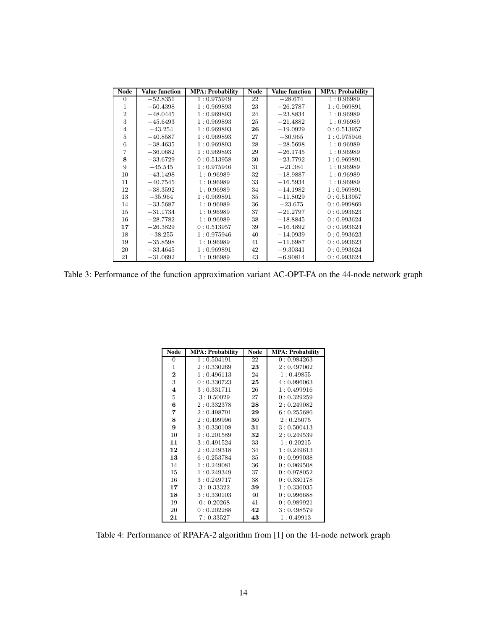| <b>Node</b>    | <b>Value function</b> | <b>MPA: Probability</b> | Node | <b>Value function</b> | <b>MPA: Probability</b> |
|----------------|-----------------------|-------------------------|------|-----------------------|-------------------------|
| $\overline{0}$ | $-52.8351$            | 1:0.975949              | 22   | $-28.674$             | 1:0.96989               |
| 1              | $-50.4398$            | 1:0.969893              | 23   | $-26.2787$            | 1:0.969891              |
| $\overline{2}$ | $-48.0445$            | 1:0.969893              | 24   | $-23.8834$            | 1:0.96989               |
| 3              | $-45.6493$            | 1:0.969893              | 25   | $-21.4882$            | 1:0.96989               |
| $\overline{4}$ | $-43.254$             | 1:0.969893              | 26   | $-19.0929$            | 0: 0.513957             |
| 5              | $-40.8587$            | 1:0.969893              | 27   | $-30.965$             | 1:0.975946              |
| 6              | $-38.4635$            | 1:0.969893              | 28   | $-28.5698$            | 1:0.96989               |
| $\overline{7}$ | $-36.0682$            | 1:0.969893              | 29   | $-26.1745$            | 1:0.96989               |
| 8              | $-33.6729$            | 0: 0.513958             | 30   | $-23.7792$            | 1:0.969891              |
| 9              | $-45.545$             | 1:0.975946              | 31   | $-21.384$             | 1:0.96989               |
| 10             | $-43.1498$            | 1:0.96989               | 32   | $-18.9887$            | 1:0.96989               |
| 11             | $-40.7545$            | 1:0.96989               | 33   | $-16.5934$            | 1:0.96989               |
| 12             | $-38.3592$            | 1:0.96989               | 34   | $-14.1982$            | 1:0.969891              |
| 13             | $-35.964$             | 1:0.969891              | 35   | $-11.8029$            | 0:0.513957              |
| 14             | $-33.5687$            | 1:0.96989               | 36   | $-23.675$             | 0:0.999869              |
| 15             | $-31.1734$            | 1:0.96989               | 37   | $-21.2797$            | 0: 0.993623             |
| 16             | $-28.7782$            | 1:0.96989               | 38   | $-18.8845$            | 0: 0.993624             |
| 17             | $-26.3829$            | 0: 0.513957             | 39   | $-16.4892$            | 0: 0.993624             |
| 18             | $-38.255$             | 1:0.975946              | 40   | $-14.0939$            | 0: 0.993623             |
| 19             | $-35.8598$            | 1:0.96989               | 41   | $-11.6987$            | 0: 0.993623             |
| 20             | $-33.4645$            | 1:0.969891              | 42   | $-9.30341$            | 0: 0.993624             |
| 21             | $-31.0692$            | 1:0.96989               | 43   | $-6.90814$            | 0: 0.993624             |

Table 3: Performance of the function approximation variant AC-OPT-FA on the 44-node network graph

| <b>Node</b>             | <b>MPA: Probability</b> | Node | <b>MPA: Probability</b> |
|-------------------------|-------------------------|------|-------------------------|
| 0                       | 1:0.504191              | 22   | 0:0.984263              |
| $\mathbf{1}$            | 2:0.330269              | 23   | 2:0.497062              |
| $\bf{2}$                | 1:0.496113              | 24   | 1:0.49855               |
| 3                       | 0: 0.330723             | 25   | 4:0.996063              |
| $\overline{\mathbf{4}}$ | 3:0.331711              | 26   | 1:0.499916              |
| $\overline{5}$          | 3:0.50029               | 27   | 0:0.329259              |
| 6                       | 2:0.332378              | 28   | 2:0.249082              |
| 7                       | 2:0.498791              | 29   | 6:0.255686              |
| 8                       | 2:0.499996              | 30   | 2:0.25075               |
| 9                       | 3:0.330108              | 31   | 3:0.500413              |
| 10                      | 1:0.201589              | 32   | 2:0.249539              |
| 11                      | 3:0.491524              | 33   | 1:0.20215               |
| 12                      | 2:0.249318              | 34   | 1:0.249613              |
| 13                      | 6:0.253784              | 35   | 0:0.999038              |
| 14                      | 1:0.249081              | 36   | 0:0.969508              |
| 15                      | 1:0.249349              | 37   | 0: 0.978052             |
| 16                      | 3:0.249717              | 38   | 0: 0.330178             |
| 17                      | 3:0.33322               | 39   | 1:0.336035              |
| 18                      | 3:0.330103              | 40   | 0:0.996688              |
| 19                      | 0:0.20268               | 41   | 0:0.989921              |
| 20                      | 0:0.202288              | 42   | 3:0.498579              |
| 21                      | 7:0.33527               | 43   | 1:0.49913               |

Table 4: Performance of RPAFA-2 algorithm from [1] on the 44-node network graph